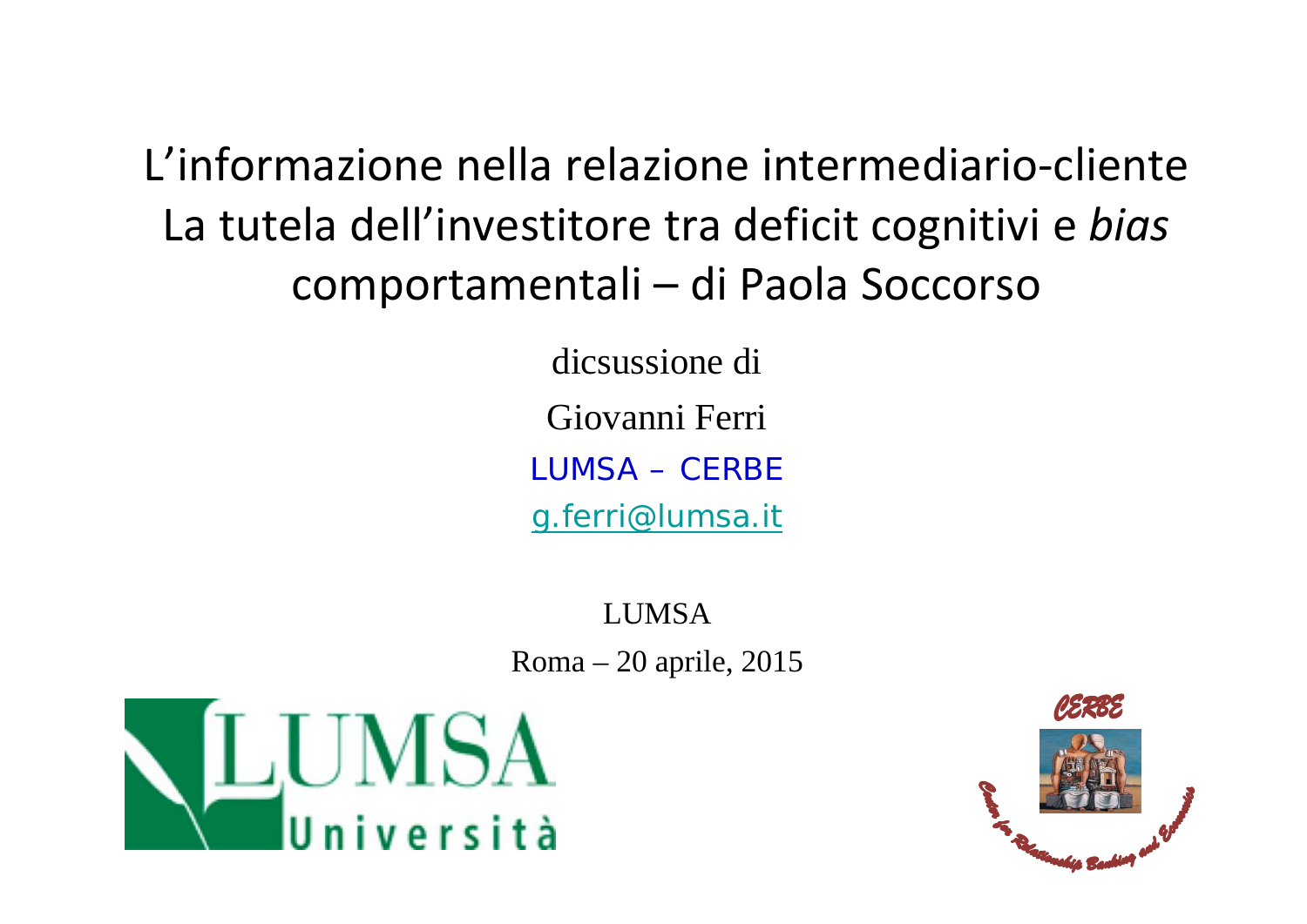L'informazione nella relazione intermediario‐cliente La tutela dell'investitore tra deficit cognitivi <sup>e</sup> *bias* comportamentali – di Paola Soccorso

> dicsussione di Giovanni Ferri LUMSA – CERBEg.ferri@lumsa.it

LUMSARoma – 20 aprile, 2015



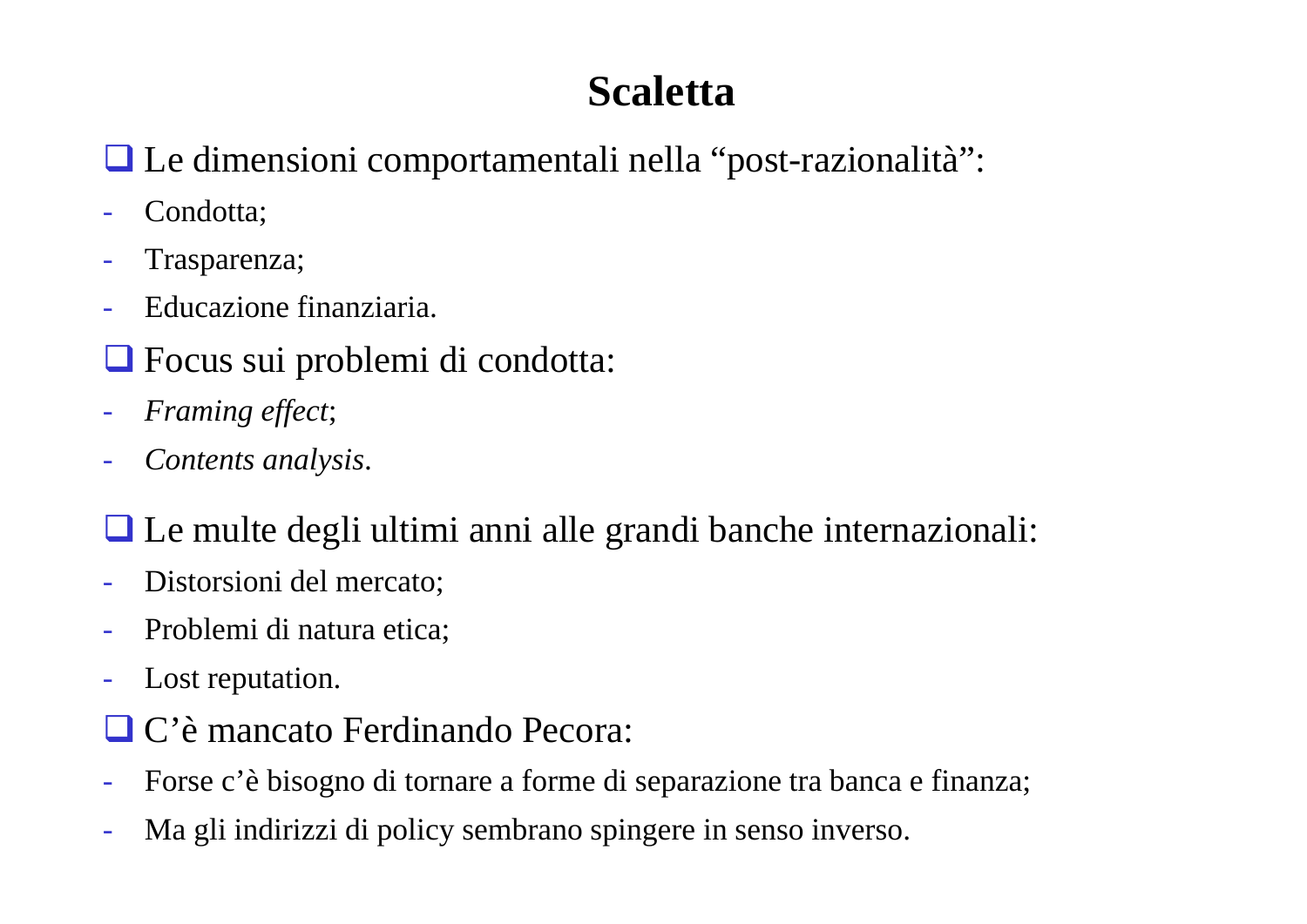# **Scaletta**

# Le dimensioni comportamentali nella "post-razionalità":

- Condotta;
- -Trasparenza;
- $\mathcal{L}_{\mathcal{A}}$ Educazione finanziaria.
- Focus sui problemi di condotta:
- -*Framing effect*;
- *Contents analysis*.

Le multe degli ultimi anni alle grandi banche internazionali:

- Distorsioni del mercato;
- -Problemi di natura etica;
- Lost reputation.
- C'è mancato Ferdinando Pecora:
- Forse c'è bisogno di tornare a forme di separazione tra banca e finanza;
- Ma gli indirizzi di policy sembrano spingere in senso inverso.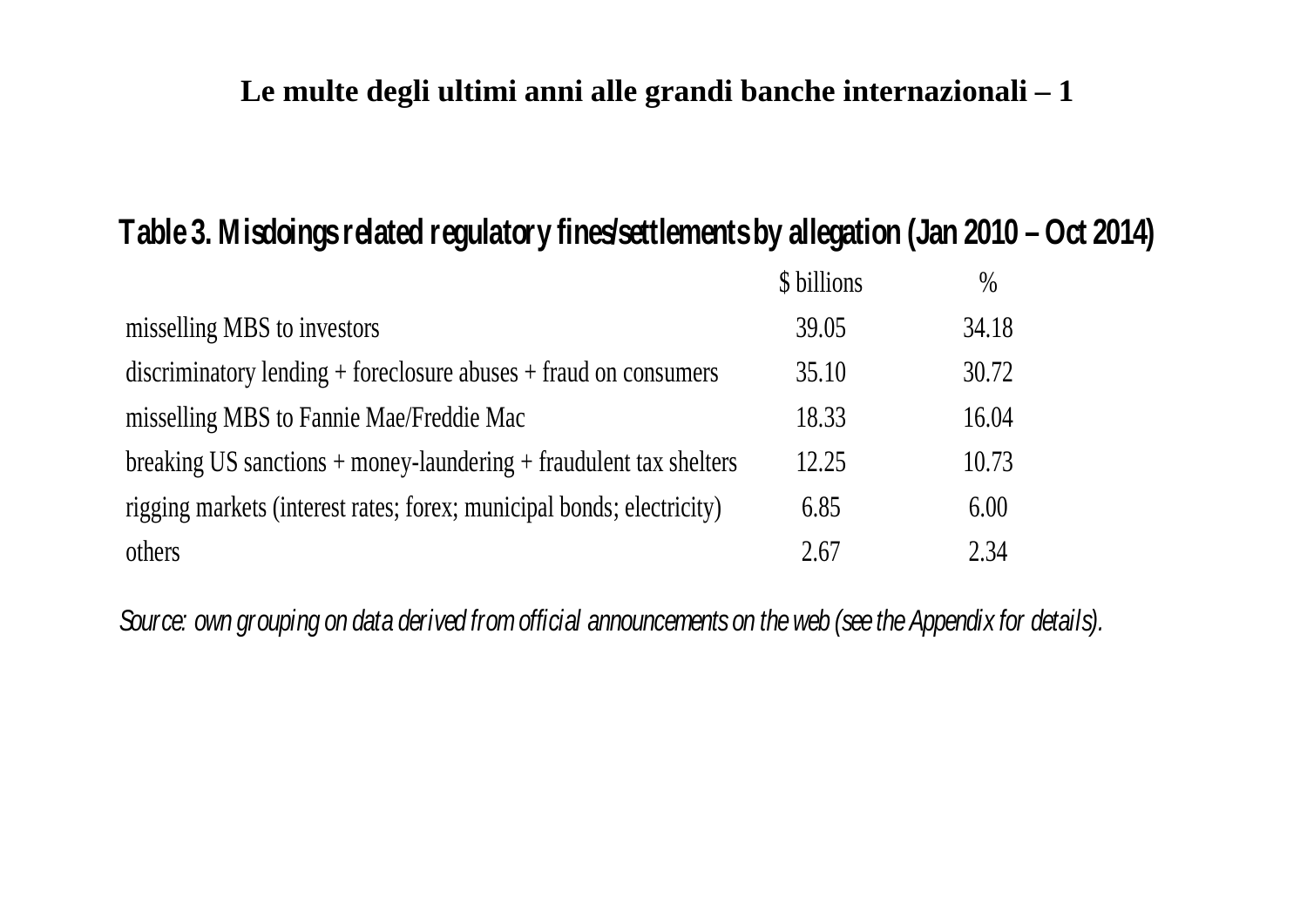## **Le multe degli ultimi anni alle grandi banche internazionali – 1**

#### **Table 3. Mi sdoi ngs related regulatory fi n es/settlements by allegation (Jan 2010 – O ct 2014)**

|                                                                        | \$ billions | $\%$  |
|------------------------------------------------------------------------|-------------|-------|
| misselling MBS to investors                                            | 39.05       | 34.18 |
| $discriminatory lending + foreclosure abuses + fraud on consumers$     | 35.10       | 30.72 |
| misselling MBS to Fannie Mae/Freddie Mac                               | 18.33       | 16.04 |
| breaking US sanctions $+$ money-laundering $+$ fraudulent tax shelters | 12.25       | 10.73 |
| rigging markets (interest rates; forex; municipal bonds; electricity)  | 6.85        | 6.00  |
| others                                                                 | 2.67        | 2.34  |

*Source: own grouping on data derived from official announcements on the web (see the Appendix for details).*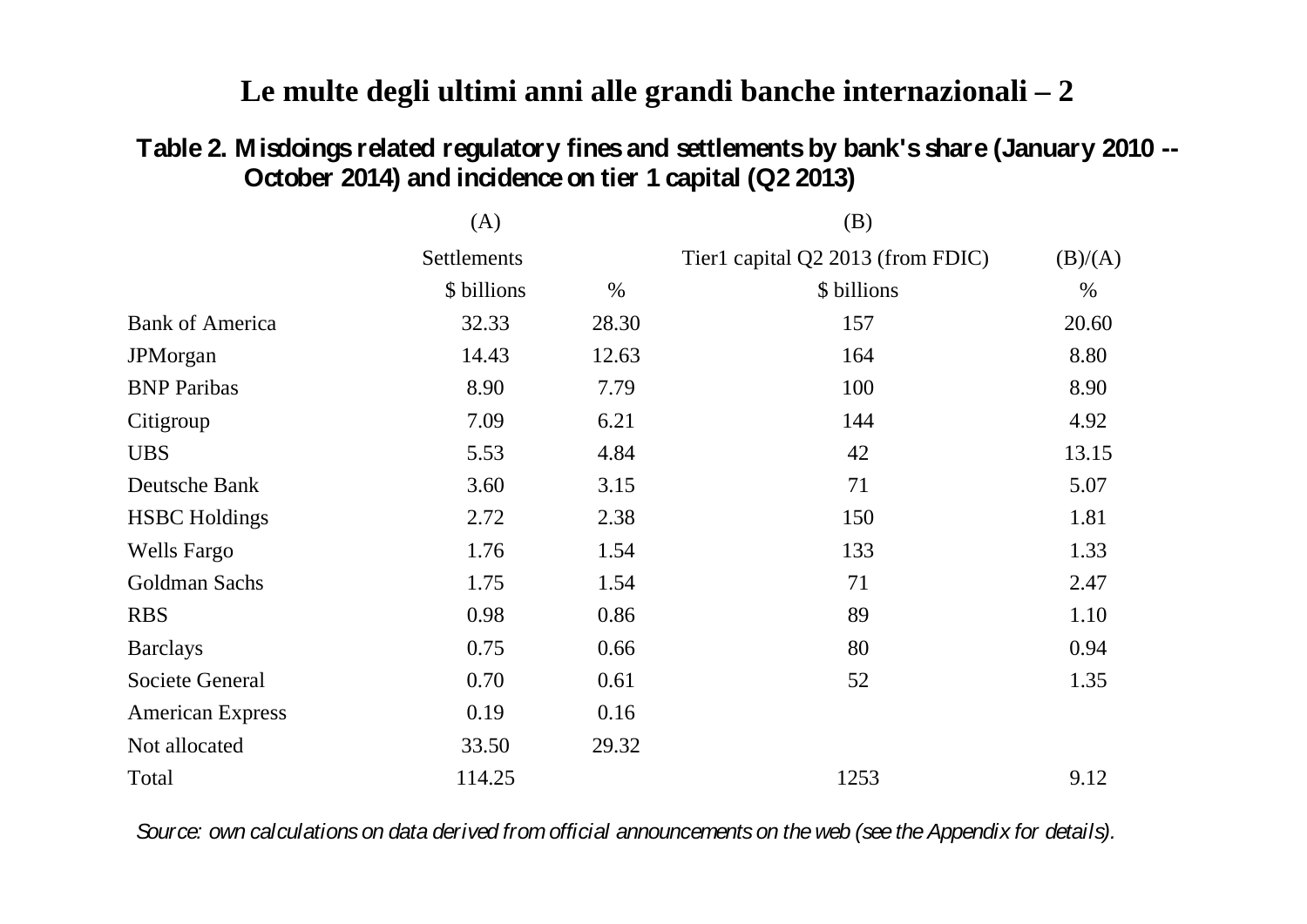## **Le multe degli ultimi anni alle grandi banche internazionali – 2**

#### **Table 2. Misdoi ngs related regulatory fi nesan d settlementsby bank'sshare (January 2010 -- October 2014) and incidence on tier 1 capital (Q2 2013)**

|                         | (A)         |       | (B)                               |         |
|-------------------------|-------------|-------|-----------------------------------|---------|
|                         | Settlements |       | Tier1 capital Q2 2013 (from FDIC) | (B)/(A) |
|                         | \$ billions | $\%$  | \$ billions                       | $\%$    |
| <b>Bank of America</b>  | 32.33       | 28.30 | 157                               | 20.60   |
| JPMorgan                | 14.43       | 12.63 | 164                               | 8.80    |
| <b>BNP</b> Paribas      | 8.90        | 7.79  | 100                               | 8.90    |
| Citigroup               | 7.09        | 6.21  | 144                               | 4.92    |
| <b>UBS</b>              | 5.53        | 4.84  | 42                                | 13.15   |
| Deutsche Bank           | 3.60        | 3.15  | 71                                | 5.07    |
| <b>HSBC</b> Holdings    | 2.72        | 2.38  | 150                               | 1.81    |
| <b>Wells Fargo</b>      | 1.76        | 1.54  | 133                               | 1.33    |
| Goldman Sachs           | 1.75        | 1.54  | 71                                | 2.47    |
| <b>RBS</b>              | 0.98        | 0.86  | 89                                | 1.10    |
| <b>Barclays</b>         | 0.75        | 0.66  | 80                                | 0.94    |
| Societe General         | 0.70        | 0.61  | 52                                | 1.35    |
| <b>American Express</b> | 0.19        | 0.16  |                                   |         |
| Not allocated           | 33.50       | 29.32 |                                   |         |
| Total                   | 114.25      |       | 1253                              | 9.12    |

*Source: own calculations on data derived from official announcements on the web (see the Appendix for details).*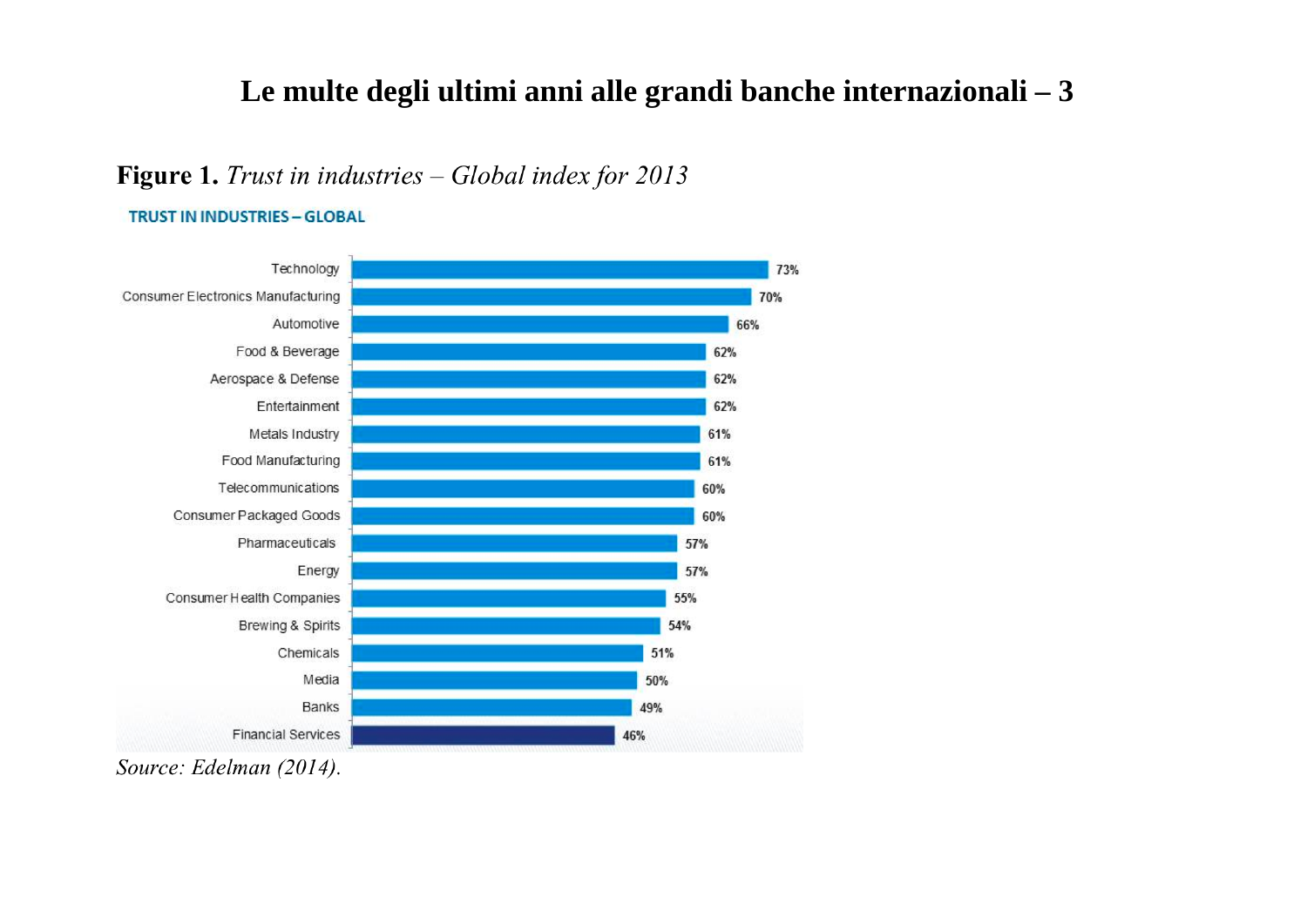### Le multe degli ultimi anni alle grandi banche internazionali - 3

#### Figure 1. Trust in industries - Global index for 2013

**TRUST IN INDUSTRIES - GLOBAL** 



Source: Edelman (2014).